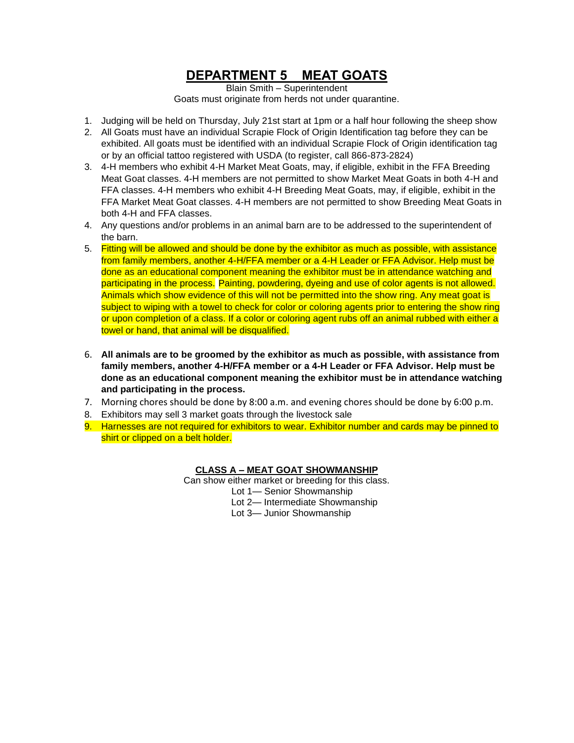# **DEPARTMENT 5 MEAT GOATS**

Blain Smith – Superintendent Goats must originate from herds not under quarantine.

- 1. Judging will be held on Thursday, July 21st start at 1pm or a half hour following the sheep show
- 2. All Goats must have an individual Scrapie Flock of Origin Identification tag before they can be exhibited. All goats must be identified with an individual Scrapie Flock of Origin identification tag or by an official tattoo registered with USDA (to register, call 866-873-2824)
- 3. 4-H members who exhibit 4-H Market Meat Goats, may, if eligible, exhibit in the FFA Breeding Meat Goat classes. 4-H members are not permitted to show Market Meat Goats in both 4-H and FFA classes. 4-H members who exhibit 4-H Breeding Meat Goats, may, if eligible, exhibit in the FFA Market Meat Goat classes. 4-H members are not permitted to show Breeding Meat Goats in both 4-H and FFA classes.
- 4. Any questions and/or problems in an animal barn are to be addressed to the superintendent of the barn.
- 5. Fitting will be allowed and should be done by the exhibitor as much as possible, with assistance from family members, another 4-H/FFA member or a 4-H Leader or FFA Advisor. Help must be done as an educational component meaning the exhibitor must be in attendance watching and participating in the process. Painting, powdering, dyeing and use of color agents is not allowed. Animals which show evidence of this will not be permitted into the show ring. Any meat goat is subject to wiping with a towel to check for color or coloring agents prior to entering the show ring or upon completion of a class. If a color or coloring agent rubs off an animal rubbed with either a towel or hand, that animal will be disqualified.
- 6. **All animals are to be groomed by the exhibitor as much as possible, with assistance from family members, another 4-H/FFA member or a 4-H Leader or FFA Advisor. Help must be done as an educational component meaning the exhibitor must be in attendance watching and participating in the process.**
- 7. Morning chores should be done by 8:00 a.m. and evening chores should be done by 6:00 p.m.
- 8. Exhibitors may sell 3 market goats through the livestock sale
- 9. Harnesses are not required for exhibitors to wear. Exhibitor number and cards may be pinned to shirt or clipped on a belt holder.

## **CLASS A – MEAT GOAT SHOWMANSHIP**

Can show either market or breeding for this class. Lot 1— Senior Showmanship

- Lot 2— Intermediate Showmanship
- Lot 3— Junior Showmanship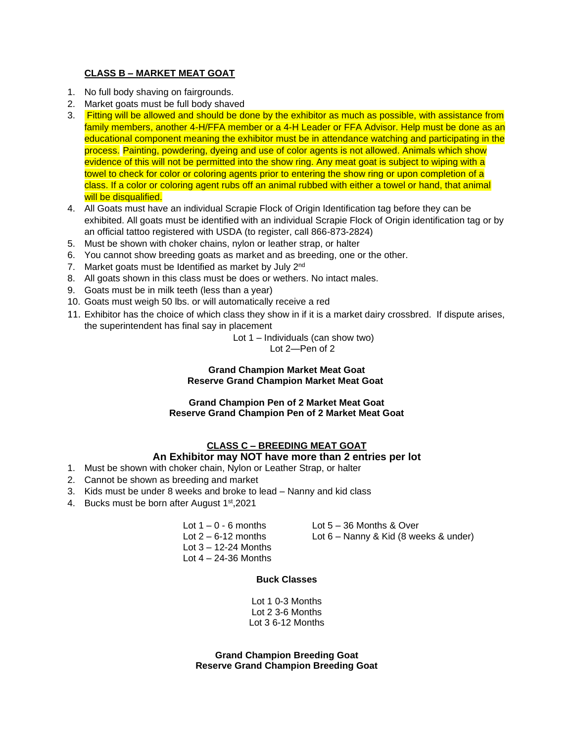### **CLASS B – MARKET MEAT GOAT**

- 1. No full body shaving on fairgrounds.
- 2. Market goats must be full body shaved
- 3. Fitting will be allowed and should be done by the exhibitor as much as possible, with assistance from family members, another 4-H/FFA member or a 4-H Leader or FFA Advisor. Help must be done as an educational component meaning the exhibitor must be in attendance watching and participating in the process. Painting, powdering, dyeing and use of color agents is not allowed. Animals which show evidence of this will not be permitted into the show ring. Any meat goat is subject to wiping with a towel to check for color or coloring agents prior to entering the show ring or upon completion of a class. If a color or coloring agent rubs off an animal rubbed with either a towel or hand, that animal will be disqualified.
- 4. All Goats must have an individual Scrapie Flock of Origin Identification tag before they can be exhibited. All goats must be identified with an individual Scrapie Flock of Origin identification tag or by an official tattoo registered with USDA (to register, call 866-873-2824)
- 5. Must be shown with choker chains, nylon or leather strap, or halter
- 6. You cannot show breeding goats as market and as breeding, one or the other.
- 7. Market goats must be Identified as market by July 2<sup>nd</sup>
- 8. All goats shown in this class must be does or wethers. No intact males.
- 9. Goats must be in milk teeth (less than a year)
- 10. Goats must weigh 50 lbs. or will automatically receive a red
- 11. Exhibitor has the choice of which class they show in if it is a market dairy crossbred. If dispute arises, the superintendent has final say in placement

Lot 1 – Individuals (can show two)

Lot 2—Pen of 2

#### **Grand Champion Market Meat Goat Reserve Grand Champion Market Meat Goat**

#### **Grand Champion Pen of 2 Market Meat Goat Reserve Grand Champion Pen of 2 Market Meat Goat**

# **CLASS C – BREEDING MEAT GOAT**

## **An Exhibitor may NOT have more than 2 entries per lot**

- 1. Must be shown with choker chain, Nylon or Leather Strap, or halter
- 2. Cannot be shown as breeding and market
- 3. Kids must be under 8 weeks and broke to lead Nanny and kid class
- 4. Bucks must be born after August 1<sup>st</sup>, 2021

Lot  $1 - 0 - 6$  months Lot  $5 - 36$  Months & Over Lot  $3 - 12 - 24$  Months Lot  $4 - 24 - 36$  Months

Lot 2 – 6-12 months Lot 6 – Nanny & Kid (8 weeks & under)

#### **Buck Classes**

Lot 1 0-3 Months Lot 2 3-6 Months Lot 3 6-12 Months

**Grand Champion Breeding Goat Reserve Grand Champion Breeding Goat**